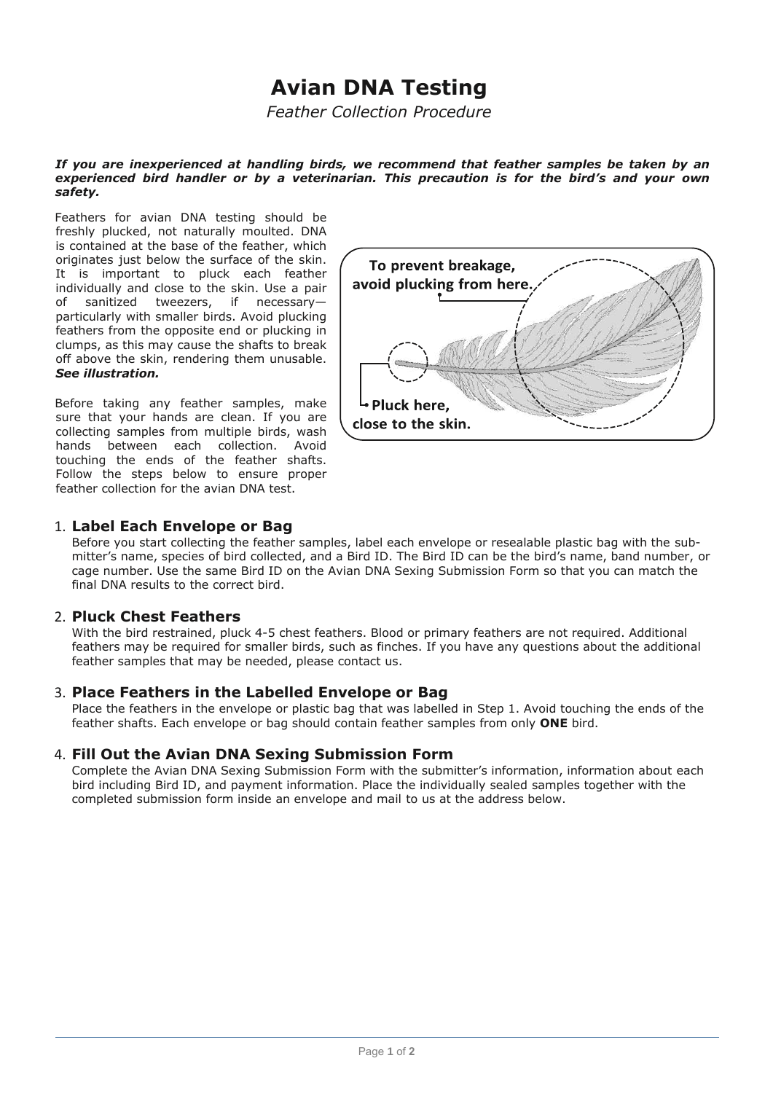# **Avian DNA Testing**

*Feather Collection Procedure*

#### *If you are inexperienced at handling birds, we recommend that feather samples be taken by an experienced bird handler or by a veterinarian. This precaution is for the bird's and your own safety.*

Feathers for avian DNA testing should be freshly plucked, not naturally moulted. DNA is contained at the base of the feather, which originates just below the surface of the skin. It is important to pluck each feather individually and close to the skin. Use a pair of sanitized tweezers, if necessary particularly with smaller birds. Avoid plucking feathers from the opposite end or plucking in clumps, as this may cause the shafts to break off above the skin, rendering them unusable. *See illustration.*

Before taking any feather samples, make sure that your hands are clean. If you are collecting samples from multiple birds, wash hands between each collection. Avoid touching the ends of the feather shafts. Follow the steps below to ensure proper feather collection for the avian DNA test.



### 1. **Label Each Envelope or Bag**

Before you start collecting the feather samples, label each envelope or resealable plastic bag with the submitter's name, species of bird collected, and a Bird ID. The Bird ID can be the bird's name, band number, or cage number. Use the same Bird ID on the Avian DNA Sexing Submission Form so that you can match the final DNA results to the correct bird.

#### 2. **Pluck Chest Feathers**

With the bird restrained, pluck 4-5 chest feathers. Blood or primary feathers are not required. Additional feathers may be required for smaller birds, such as finches. If you have any questions about the additional feather samples that may be needed, please contact us.

#### 3. **Place Feathers in the Labelled Envelope or Bag**

Place the feathers in the envelope or plastic bag that was labelled in Step 1. Avoid touching the ends of the feather shafts. Each envelope or bag should contain feather samples from only **ONE** bird.

#### 4. **Fill Out the Avian DNA Sexing Submission Form**

Complete the Avian DNA Sexing Submission Form with the submitter's information, information about each bird including Bird ID, and payment information. Place the individually sealed samples together with the completed submission form inside an envelope and mail to us at the address below.